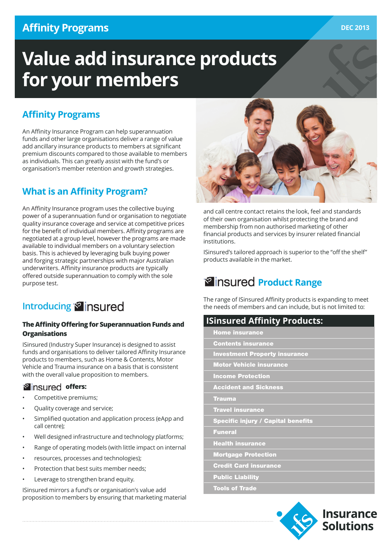# **Affinity Programs**

# **Value add insurance products for your members**

### **Affinity Programs**

An Affinity Insurance Program can help superannuation funds and other large organisations deliver a range of value add ancillary insurance products to members at significant premium discounts compared to those available to members as individuals. This can greatly assist with the fund's or organisation's member retention and growth strategies.

### **What is an Affinity Program?**

An Affinity Insurance program uses the collective buying power of a superannuation fund or organisation to negotiate quality insurance coverage and service at competitive prices for the benefit of individual members. Affinity programs are negotiated at a group level, however the programs are made available to individual members on a voluntary selection basis. This is achieved by leveraging bulk buying power and forging strategic partnerships with major Australian underwriters. Affinity insurance products are typically offered outside superannuation to comply with the sole purpose test.

# **Introducing**<sup>8</sup> insured

#### **The Affinity Offering for Superannuation Funds and Organisations**

ISinsured (Industry Super Insurance) is designed to assist funds and organisations to deliver tailored Affinity Insurance products to members, such as Home & Contents, Motor Vehicle and Trauma insurance on a basis that is consistent with the overall value proposition to members.

### **<sup>***s***</sup> insured offers:**

- Competitive premiums;
- Quality coverage and service;
- Simplified quotation and application process (eApp and call centre);
- Well designed infrastructure and technology platforms;
- Range of operating models (with little impact on internal
- resources, processes and technologies);
- Protection that best suits member needs;
- Leverage to strengthen brand equity.

ISinsured mirrors a fund's or organisation's value add proposition to members by ensuring that marketing material



and call centre contact retains the look, feel and standards of their own organisation whilst protecting the brand and membership from non authorised marketing of other financial products and services by insurer related financial institutions.

ISinsured's tailored approach is superior to the "off the shelf" products available in the market.

# **Product Range**

The range of ISinsured Affinity products is expanding to meet the needs of members and can include, but is not limited to:

### **ISinsured Affinity Products:**

| <b>Home insurance</b>                     |
|-------------------------------------------|
| <b>Contents insurance</b>                 |
| <b>Investment Property insurance</b>      |
| <b>Motor Vehicle insurance</b>            |
| <b>Income Protection</b>                  |
| <b>Accident and Sickness</b>              |
| <b>Trauma</b>                             |
| <b>Travel insurance</b>                   |
| <b>Specific injury / Capital benefits</b> |
| <b>Funeral</b>                            |
| <b>Health insurance</b>                   |
| <b>Mortgage Protection</b>                |
| <b>Credit Card insurance</b>              |
| <b>Public Liability</b>                   |
| <b>Tools of Trade</b>                     |